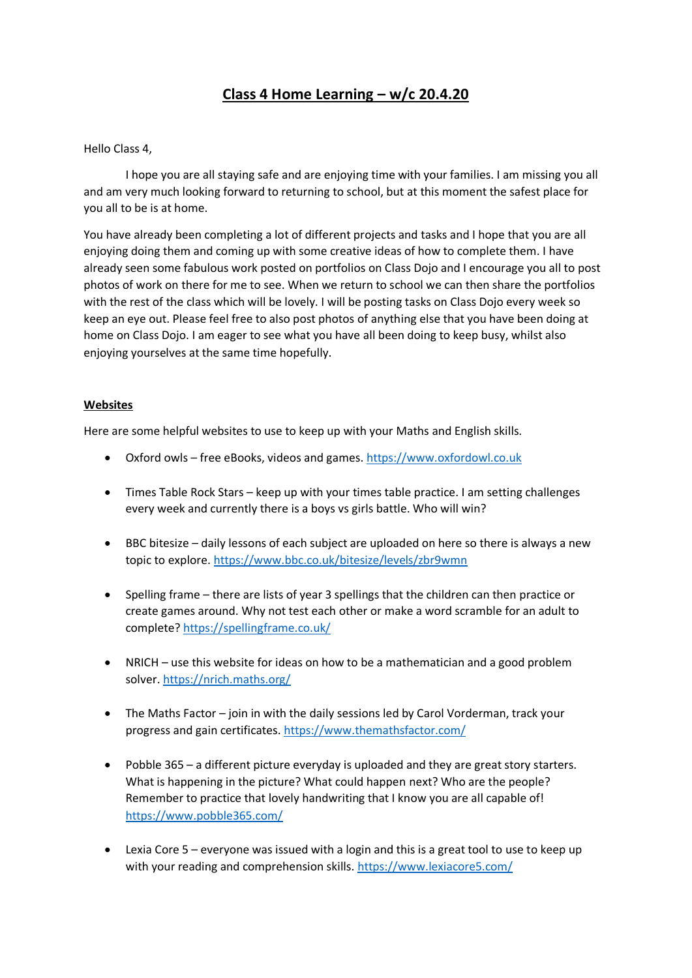# **Class 4 Home Learning – w/c 20.4.20**

## Hello Class 4,

I hope you are all staying safe and are enjoying time with your families. I am missing you all and am very much looking forward to returning to school, but at this moment the safest place for you all to be is at home.

You have already been completing a lot of different projects and tasks and I hope that you are all enjoying doing them and coming up with some creative ideas of how to complete them. I have already seen some fabulous work posted on portfolios on Class Dojo and I encourage you all to post photos of work on there for me to see. When we return to school we can then share the portfolios with the rest of the class which will be lovely. I will be posting tasks on Class Dojo every week so keep an eye out. Please feel free to also post photos of anything else that you have been doing at home on Class Dojo. I am eager to see what you have all been doing to keep busy, whilst also enjoying yourselves at the same time hopefully.

## **Websites**

Here are some helpful websites to use to keep up with your Maths and English skills.

- Oxford owls free eBooks, videos and games. [https://www.oxfordowl.co.uk](https://www.oxfordowl.co.uk/)
- Times Table Rock Stars keep up with your times table practice. I am setting challenges every week and currently there is a boys vs girls battle. Who will win?
- BBC bitesize daily lessons of each subject are uploaded on here so there is always a new topic to explore. <https://www.bbc.co.uk/bitesize/levels/zbr9wmn>
- Spelling frame there are lists of year 3 spellings that the children can then practice or create games around. Why not test each other or make a word scramble for an adult to complete? <https://spellingframe.co.uk/>
- NRICH use this website for ideas on how to be a mathematician and a good problem solver. <https://nrich.maths.org/>
- The Maths Factor join in with the daily sessions led by Carol Vorderman, track your progress and gain certificates.<https://www.themathsfactor.com/>
- Pobble 365 a different picture everyday is uploaded and they are great story starters. What is happening in the picture? What could happen next? Who are the people? Remember to practice that lovely handwriting that I know you are all capable of! <https://www.pobble365.com/>
- Lexia Core 5 everyone was issued with a login and this is a great tool to use to keep up with your reading and comprehension skills[. https://www.lexiacore5.com/](https://www.lexiacore5.com/)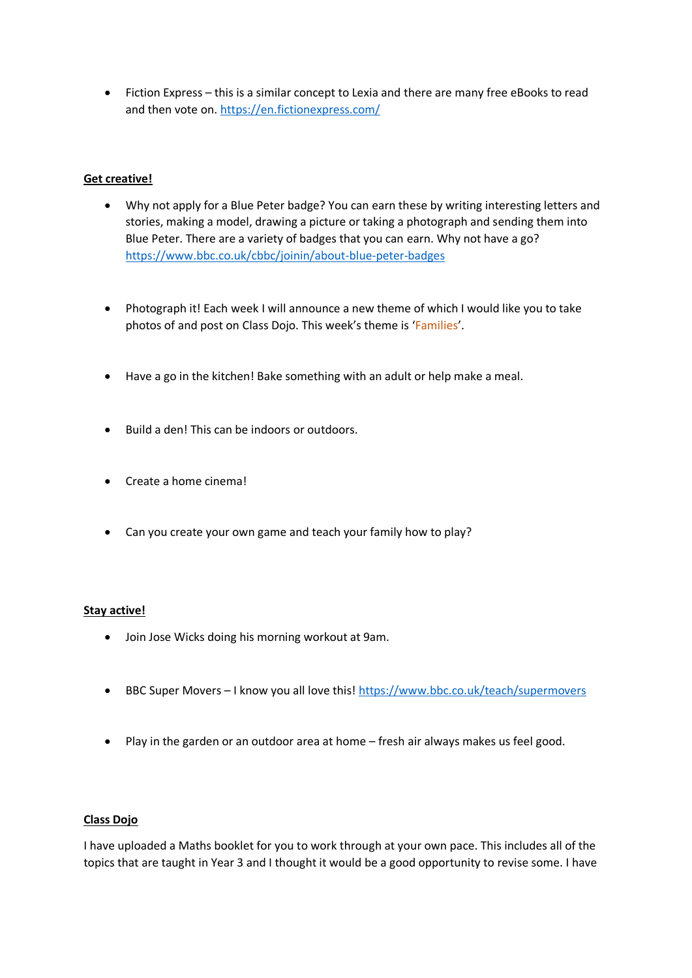• Fiction Express – this is a similar concept to Lexia and there are many free eBooks to read and then vote on.<https://en.fictionexpress.com/>

## **Get creative!**

- Why not apply for a Blue Peter badge? You can earn these by writing interesting letters and stories, making a model, drawing a picture or taking a photograph and sending them into Blue Peter. There are a variety of badges that you can earn. Why not have a go? <https://www.bbc.co.uk/cbbc/joinin/about-blue-peter-badges>
- Photograph it! Each week I will announce a new theme of which I would like you to take photos of and post on Class Dojo. This week's theme is 'Families'.
- Have a go in the kitchen! Bake something with an adult or help make a meal.
- Build a den! This can be indoors or outdoors.
- Create a home cinema!
- Can you create your own game and teach your family how to play?

## **Stay active!**

- Join Jose Wicks doing his morning workout at 9am.
- BBC Super Movers I know you all love this! <https://www.bbc.co.uk/teach/supermovers>
- Play in the garden or an outdoor area at home fresh air always makes us feel good.

## **Class Dojo**

I have uploaded a Maths booklet for you to work through at your own pace. This includes all of the topics that are taught in Year 3 and I thought it would be a good opportunity to revise some. I have